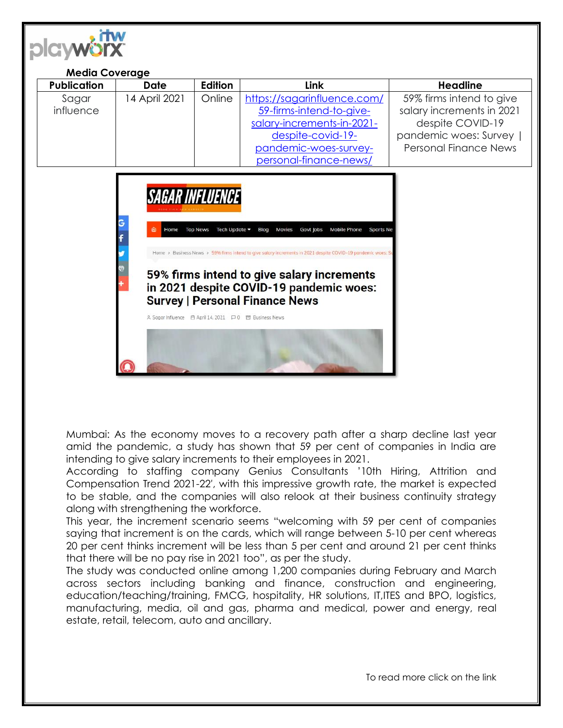

Mumbai: As the economy moves to a recovery path after a sharp decline last year amid the pandemic, a study has shown that 59 per cent of companies in India are intending to give salary increments to their employees in 2021.

According to staffing company Genius Consultants '10th Hiring, Attrition and Compensation Trend 2021-22′, with this impressive growth rate, the market is expected to be stable, and the companies will also relook at their business continuity strategy along with strengthening the workforce.

This year, the increment scenario seems "welcoming with 59 per cent of companies saying that increment is on the cards, which will range between 5-10 per cent whereas 20 per cent thinks increment will be less than 5 per cent and around 21 per cent thinks that there will be no pay rise in 2021 too", as per the study.

The study was conducted online among 1,200 companies during February and March across sectors including banking and finance, construction and engineering, education/teaching/training, FMCG, hospitality, HR solutions, IT,ITES and BPO, logistics, manufacturing, media, oil and gas, pharma and medical, power and energy, real estate, retail, telecom, auto and ancillary.

To read more click on the link